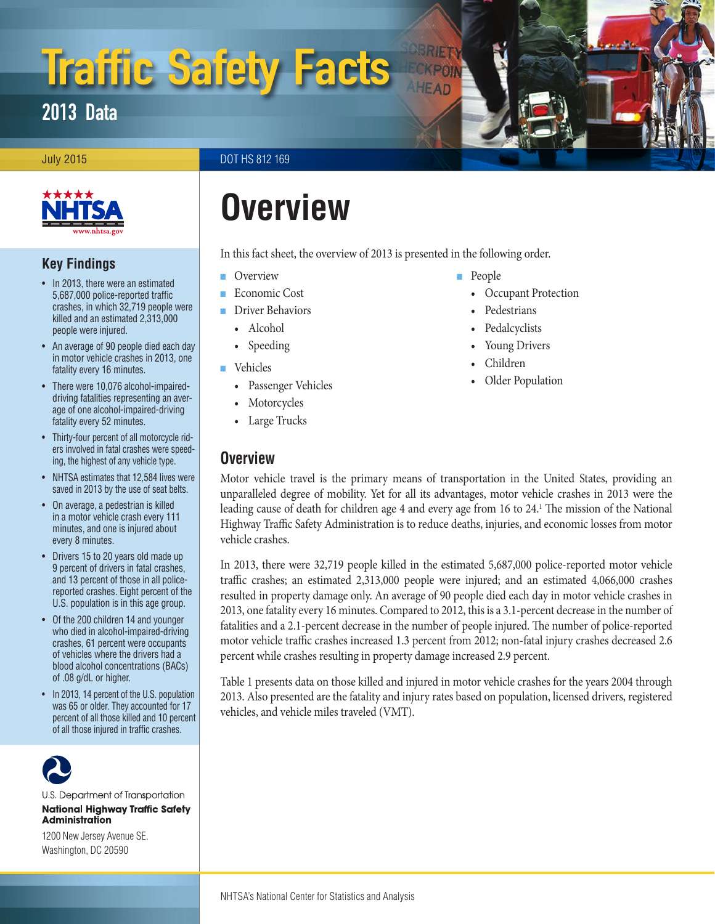# Traffic Safety Facts

## 2013 Data

July 2015 DOT HS 812 169



## **Key Findings**

- In 2013, there were an estimated 5,687,000 police-reported traffic crashes, in which 32,719 people were killed and an estimated 2,313,000 people were injured.
- An average of 90 people died each day in motor vehicle crashes in 2013, one fatality every 16 minutes.
- There were 10,076 alcohol-impaireddriving fatalities representing an average of one alcohol-impaired-driving fatality every 52 minutes.
- Thirty-four percent of all motorcycle riders involved in fatal crashes were speeding, the highest of any vehicle type.
- NHTSA estimates that 12,584 lives were saved in 2013 by the use of seat belts.
- On average, a pedestrian is killed in a motor vehicle crash every 111 minutes, and one is injured about every 8 minutes.
- Drivers 15 to 20 years old made up 9 percent of drivers in fatal crashes, and 13 percent of those in all policereported crashes. Eight percent of the U.S. population is in this age group.
- Of the 200 children 14 and younger who died in alcohol-impaired-driving crashes, 61 percent were occupants of vehicles where the drivers had a blood alcohol concentrations (BACs) of .08 g/dL or higher.
- In 2013, 14 percent of the U.S. population was 65 or older. They accounted for 17 percent of all those killed and 10 percent of all those injured in traffic crashes.



U.S. Department of Transportation **National Highway Traffic Safety Administration** 

1200 New Jersey Avenue SE. Washington, DC 20590

## **Overview**

In this fact sheet, the overview of 2013 is presented in the following order.

- [Overview](#page-0-0)
- [Economic Cost](#page-3-0)
- [Driver Behaviors](#page-3-1)
	- [Alcohol](#page-3-1)
	- [Speeding](#page-5-0)
- [Vehicles](#page-7-0)
	- [Passenger Vehicles](#page-7-0)
	- [Motorcycles](#page-8-0)
	- [Large Trucks](#page-8-1)

## <span id="page-0-0"></span>**Overview**

- [People](#page-9-0)
	- [Occupant Protection](#page-9-0)
	- [Pedestrians](#page-9-1)
	- [Pedalcyclists](#page-10-0)
	- [Young Drivers](#page-10-1)
	- [Children](#page-10-2)
	- [Older Population](#page-10-3)

Motor vehicle travel is the primary means of transportation in the United States, providing an unparalleled degree of mobility. Yet for all its advantages, motor vehicle crashes in 2013 were the leading cause of death for children age 4 and every age from [1](#page-11-0)6 to 24.<sup>1</sup> The mission of the National Highway Traffic Safety Administration is to reduce deaths, injuries, and economic losses from motor vehicle crashes.

In 2013, there were 32,719 people killed in the estimated 5,687,000 police-reported motor vehicle traffic crashes; an estimated 2,313,000 people were injured; and an estimated 4,066,000 crashes resulted in property damage only. An average of 90 people died each day in motor vehicle crashes in 2013, one fatality every 16 minutes. Compared to 2012, this is a 3.1-percent decrease in the number of fatalities and a 2.1-percent decrease in the number of people injured. The number of police-reported motor vehicle traffic crashes increased 1.3 percent from 2012; non-fatal injury crashes decreased 2.6 percent while crashes resulting in property damage increased 2.9 percent.

Table 1 presents data on those killed and injured in motor vehicle crashes for the years 2004 through 2013. Also presented are the fatality and injury rates based on population, licensed drivers, registered vehicles, and vehicle miles traveled (VMT).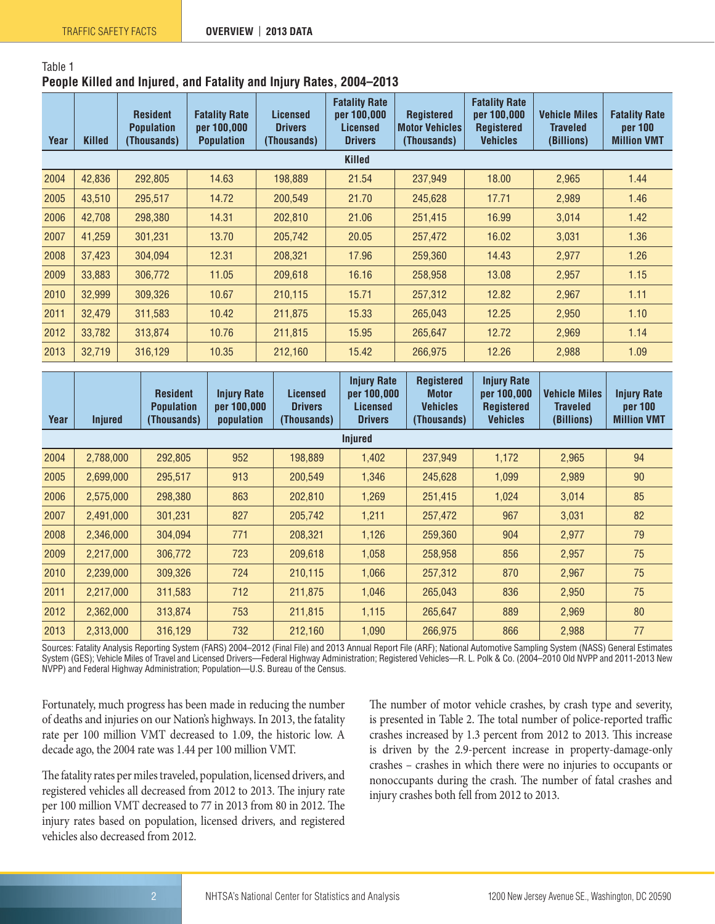#### Table 1

#### **People Killed and Injured, and Fatality and Injury Rates, 2004–2013**

| Year | <b>Killed</b> | <b>Resident</b><br><b>Population</b><br>(Thousands) | <b>Fatality Rate</b><br>per 100,000<br><b>Population</b> | <b>Licensed</b><br><b>Drivers</b><br>(Thousands) | <b>Fatality Rate</b><br>per 100,000<br><b>Licensed</b><br><b>Drivers</b> | <b>Registered</b><br><b>Motor Vehicles</b><br>(Thousands) | <b>Fatality Rate</b><br>per 100,000<br><b>Registered</b><br><b>Vehicles</b> | <b>Vehicle Miles</b><br>Traveled<br>(Billions) | <b>Fatality Rate</b><br>per 100<br><b>Million VMT</b> |
|------|---------------|-----------------------------------------------------|----------------------------------------------------------|--------------------------------------------------|--------------------------------------------------------------------------|-----------------------------------------------------------|-----------------------------------------------------------------------------|------------------------------------------------|-------------------------------------------------------|
|      |               |                                                     |                                                          |                                                  | <b>Killed</b>                                                            |                                                           |                                                                             |                                                |                                                       |
| 2004 | 42,836        | 292,805                                             | 14.63                                                    | 198,889                                          | 21.54                                                                    | 237,949                                                   | 18.00                                                                       | 2,965                                          | 1.44                                                  |
| 2005 | 43,510        | 295,517                                             | 14.72                                                    | 200,549                                          | 21.70                                                                    | 245,628                                                   | 17.71                                                                       | 2,989                                          | 1.46                                                  |
| 2006 | 42,708        | 298,380                                             | 14.31                                                    | 202,810                                          | 21.06                                                                    | 251,415                                                   | 16.99                                                                       | 3,014                                          | 1.42                                                  |
| 2007 | 41,259        | 301,231                                             | 13.70                                                    | 205,742                                          | 20.05                                                                    | 257,472                                                   | 16.02                                                                       | 3,031                                          | 1.36                                                  |
| 2008 | 37,423        | 304,094                                             | 12.31                                                    | 208,321                                          | 17.96                                                                    | 259,360                                                   | 14.43                                                                       | 2,977                                          | 1.26                                                  |
| 2009 | 33,883        | 306,772                                             | 11.05                                                    | 209,618                                          | 16.16                                                                    | 258,958                                                   | 13.08                                                                       | 2,957                                          | 1.15                                                  |
| 2010 | 32,999        | 309.326                                             | 10.67                                                    | 210,115                                          | 15.71                                                                    | 257,312                                                   | 12.82                                                                       | 2,967                                          | 1.11                                                  |
| 2011 | 32,479        | 311,583                                             | 10.42                                                    | 211,875                                          | 15.33                                                                    | 265,043                                                   | 12.25                                                                       | 2,950                                          | 1.10                                                  |
| 2012 | 33,782        | 313,874                                             | 10.76                                                    | 211,815                                          | 15.95                                                                    | 265,647                                                   | 12.72                                                                       | 2,969                                          | 1.14                                                  |
| 2013 | 32,719        | 316,129                                             | 10.35                                                    | 212,160                                          | 15.42                                                                    | 266,975                                                   | 12.26                                                                       | 2,988                                          | 1.09                                                  |

| Year | <b>Injured</b> | <b>Resident</b><br><b>Population</b><br>(Thousands) | <b>Injury Rate</b><br>per 100,000<br>population | <b>Licensed</b><br><b>Drivers</b><br>(Thousands) | <b>Injury Rate</b><br>per 100,000<br><b>Licensed</b><br><b>Drivers</b> | <b>Registered</b><br><b>Motor</b><br><b>Vehicles</b><br>(Thousands) | <b>Injury Rate</b><br>per 100,000<br><b>Registered</b><br><b>Vehicles</b> | <b>Vehicle Miles</b><br><b>Traveled</b><br>(Billions) | <b>Injury Rate</b><br>per 100<br><b>Million VMT</b> |
|------|----------------|-----------------------------------------------------|-------------------------------------------------|--------------------------------------------------|------------------------------------------------------------------------|---------------------------------------------------------------------|---------------------------------------------------------------------------|-------------------------------------------------------|-----------------------------------------------------|
|      |                |                                                     |                                                 |                                                  | <b>Injured</b>                                                         |                                                                     |                                                                           |                                                       |                                                     |
| 2004 | 2,788,000      | 292,805                                             | 952                                             | 198,889                                          | 1,402                                                                  | 237,949                                                             | 1,172                                                                     | 2,965                                                 | 94                                                  |
| 2005 | 2,699,000      | 295,517                                             | 913                                             | 200,549                                          | 1,346                                                                  | 245,628                                                             | 1,099                                                                     | 2,989                                                 | 90                                                  |
| 2006 | 2,575,000      | 298,380                                             | 863                                             | 202,810                                          | 1,269                                                                  | 251,415                                                             | 1,024                                                                     | 3,014                                                 | 85                                                  |
| 2007 | 2,491,000      | 301,231                                             | 827                                             | 205,742                                          | 1,211                                                                  | 257,472                                                             | 967                                                                       | 3,031                                                 | 82                                                  |
| 2008 | 2,346,000      | 304,094                                             | 771                                             | 208,321                                          | 1,126                                                                  | 259,360                                                             | 904                                                                       | 2,977                                                 | 79                                                  |
| 2009 | 2,217,000      | 306,772                                             | 723                                             | 209,618                                          | 1,058                                                                  | 258,958                                                             | 856                                                                       | 2,957                                                 | 75                                                  |
| 2010 | 2,239,000      | 309,326                                             | 724                                             | 210,115                                          | 1,066                                                                  | 257,312                                                             | 870                                                                       | 2,967                                                 | 75                                                  |
| 2011 | 2,217,000      | 311,583                                             | 712                                             | 211,875                                          | 1,046                                                                  | 265,043                                                             | 836                                                                       | 2,950                                                 | 75                                                  |
| 2012 | 2,362,000      | 313,874                                             | 753                                             | 211,815                                          | 1,115                                                                  | 265,647                                                             | 889                                                                       | 2,969                                                 | 80                                                  |
| 2013 | 2,313,000      | 316,129                                             | 732                                             | 212,160                                          | 1,090                                                                  | 266,975                                                             | 866                                                                       | 2,988                                                 | 77                                                  |

Sources: Fatality Analysis Reporting System (FARS) 2004–2012 (Final File) and 2013 Annual Report File (ARF); National Automotive Sampling System (NASS) General Estimates System (GES); Vehicle Miles of Travel and Licensed Drivers—Federal Highway Administration; Registered Vehicles—R. L. Polk & Co. (2004–2010 Old NVPP and 2011-2013 New NVPP) and Federal Highway Administration; Population—U.S. Bureau of the Census.

Fortunately, much progress has been made in reducing the number of deaths and injuries on our Nation's highways. In 2013, the fatality rate per 100 million VMT decreased to 1.09, the historic low. A decade ago, the 2004 rate was 1.44 per 100 million VMT.

The fatality rates per miles traveled, population, licensed drivers, and registered vehicles all decreased from 2012 to 2013. The injury rate per 100 million VMT decreased to 77 in 2013 from 80 in 2012. The injury rates based on population, licensed drivers, and registered vehicles also decreased from 2012.

The number of motor vehicle crashes, by crash type and severity, is presented in Table 2. The total number of police-reported traffic crashes increased by 1.3 percent from 2012 to 2013. This increase is driven by the 2.9-percent increase in property-damage-only crashes – crashes in which there were no injuries to occupants or nonoccupants during the crash. The number of fatal crashes and injury crashes both fell from 2012 to 2013.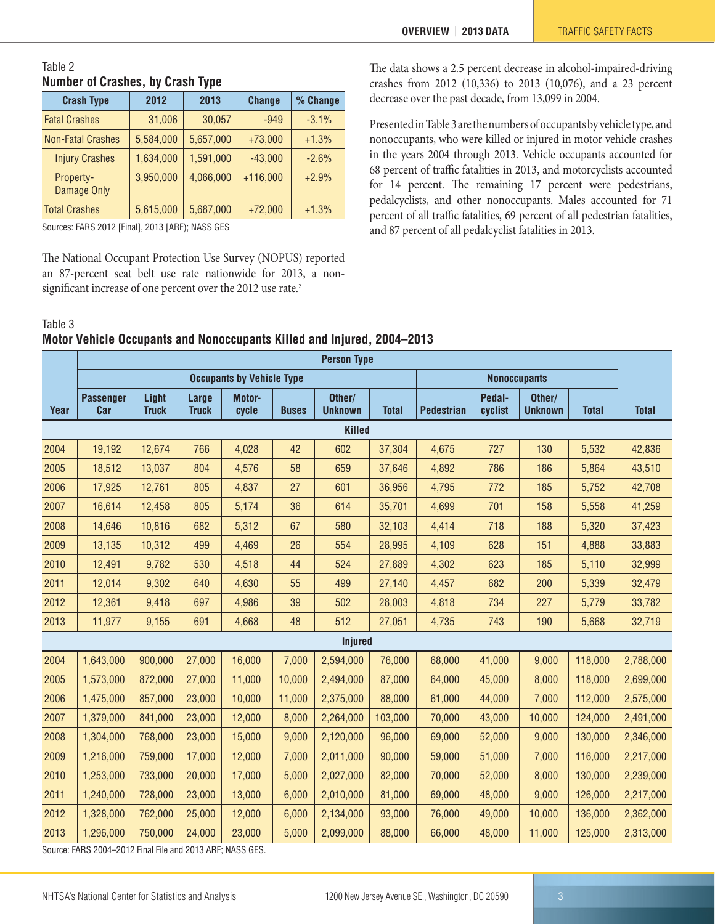#### Table 2 **Number of Crashes, by Crash Type**

| <b>Crash Type</b>        | 2012      | 2013      | <b>Change</b> | % Change |
|--------------------------|-----------|-----------|---------------|----------|
| <b>Fatal Crashes</b>     | 31,006    | 30,057    | $-949$        | $-3.1%$  |
| <b>Non-Fatal Crashes</b> | 5,584,000 | 5,657,000 | $+73,000$     | $+1.3%$  |
| <b>Injury Crashes</b>    | 1,634,000 | 1,591,000 | $-43,000$     | $-2.6%$  |
| Property-<br>Damage Only | 3,950,000 | 4,066,000 | $+116,000$    | $+2.9%$  |
| <b>Total Crashes</b>     | 5,615,000 | 5,687,000 | $+72,000$     | $+1.3%$  |

Sources: FARS 2012 [Final], 2013 [ARF); NASS GES

The National Occupant Protection Use Survey (NOPUS) reported an 87-percent seat belt use rate nationwide for 2013, a non-significant increase of one percent over the [2](#page-11-1)012 use rate.<sup>2</sup>

The data shows a 2.5 percent decrease in alcohol-impaired-driving crashes from 2012 (10,336) to 2013 (10,076), and a 23 percent decrease over the past decade, from 13,099 in 2004.

Presented in Table 3 are the numbers of occupants by vehicle type, and nonoccupants, who were killed or injured in motor vehicle crashes in the years 2004 through 2013. Vehicle occupants accounted for 68 percent of traffic fatalities in 2013, and motorcyclists accounted for 14 percent. The remaining 17 percent were pedestrians, pedalcyclists, and other nonoccupants. Males accounted for 71 percent of all traffic fatalities, 69 percent of all pedestrian fatalities, and 87 percent of all pedalcyclist fatalities in 2013.

#### Table 3

#### **Motor Vehicle Occupants and Nonoccupants Killed and Injured, 2004–2013**

|      | <b>Person Type</b>                                       |                       |                       |                                  |              |                          |              |                   |                     |                          |              |              |
|------|----------------------------------------------------------|-----------------------|-----------------------|----------------------------------|--------------|--------------------------|--------------|-------------------|---------------------|--------------------------|--------------|--------------|
|      |                                                          |                       |                       | <b>Occupants by Vehicle Type</b> |              |                          |              |                   | <b>Nonoccupants</b> |                          |              |              |
| Year | <b>Passenger</b><br>Car                                  | Light<br><b>Truck</b> | Large<br><b>Truck</b> | Motor-<br>cycle                  | <b>Buses</b> | Other/<br><b>Unknown</b> | <b>Total</b> | <b>Pedestrian</b> | Pedal-<br>cyclist   | Other/<br><b>Unknown</b> | <b>Total</b> | <b>Total</b> |
|      |                                                          |                       |                       |                                  |              | <b>Killed</b>            |              |                   |                     |                          |              |              |
| 2004 | 19,192                                                   | 12,674                | 766                   | 4,028                            | 42           | 602                      | 37,304       | 4,675             | 727                 | 130                      | 5,532        | 42,836       |
| 2005 | 18,512                                                   | 13,037                | 804                   | 4,576                            | 58           | 659                      | 37,646       | 4,892             | 786                 | 186                      | 5,864        | 43,510       |
| 2006 | 17,925                                                   | 12,761                | 805                   | 4,837                            | 27           | 601                      | 36,956       | 4,795             | 772                 | 185                      | 5,752        | 42,708       |
| 2007 | 16,614                                                   | 12,458                | 805                   | 5,174                            | 36           | 614                      | 35,701       | 4,699             | 701                 | 158                      | 5,558        | 41,259       |
| 2008 | 14,646                                                   | 10,816                | 682                   | 5,312                            | 67           | 580                      | 32,103       | 4,414             | 718                 | 188                      | 5,320        | 37,423       |
| 2009 | 13,135                                                   | 10,312                | 499                   | 4,469                            | 26           | 554                      | 28,995       | 4,109             | 628                 | 151                      | 4,888        | 33,883       |
| 2010 | 12,491                                                   | 9,782                 | 530                   | 4,518                            | 44           | 524                      | 27,889       | 4,302             | 623                 | 185                      | 5,110        | 32,999       |
| 2011 | 12,014                                                   | 9,302                 | 640                   | 4,630                            | 55           | 499                      | 27,140       | 4,457             | 682                 | 200                      | 5,339        | 32,479       |
| 2012 | 12,361                                                   | 9,418                 | 697                   | 4,986                            | 39           | 502                      | 28,003       | 4,818             | 734                 | 227                      | 5,779        | 33,782       |
| 2013 | 11,977                                                   | 9,155                 | 691                   | 4,668                            | 48           | 512                      | 27,051       | 4,735             | 743                 | 190                      | 5,668        | 32,719       |
|      |                                                          |                       |                       |                                  |              | <b>Injured</b>           |              |                   |                     |                          |              |              |
| 2004 | 1,643,000                                                | 900,000               | 27,000                | 16,000                           | 7,000        | 2,594,000                | 76,000       | 68,000            | 41,000              | 9,000                    | 118,000      | 2,788,000    |
| 2005 | 1,573,000                                                | 872,000               | 27,000                | 11,000                           | 10,000       | 2,494,000                | 87,000       | 64,000            | 45,000              | 8,000                    | 118,000      | 2,699,000    |
| 2006 | 1,475,000                                                | 857,000               | 23,000                | 10,000                           | 11,000       | 2,375,000                | 88,000       | 61,000            | 44,000              | 7,000                    | 112,000      | 2,575,000    |
| 2007 | 1,379,000                                                | 841,000               | 23,000                | 12,000                           | 8,000        | 2,264,000                | 103,000      | 70,000            | 43,000              | 10,000                   | 124,000      | 2,491,000    |
| 2008 | 1,304,000                                                | 768,000               | 23,000                | 15,000                           | 9,000        | 2,120,000                | 96,000       | 69,000            | 52,000              | 9,000                    | 130,000      | 2,346,000    |
| 2009 | 1,216,000                                                | 759,000               | 17,000                | 12,000                           | 7,000        | 2,011,000                | 90,000       | 59,000            | 51,000              | 7,000                    | 116,000      | 2,217,000    |
| 2010 | 1,253,000                                                | 733,000               | 20,000                | 17,000                           | 5,000        | 2,027,000                | 82,000       | 70,000            | 52,000              | 8,000                    | 130,000      | 2,239,000    |
| 2011 | 1,240,000                                                | 728,000               | 23,000                | 13,000                           | 6,000        | 2,010,000                | 81,000       | 69,000            | 48,000              | 9,000                    | 126,000      | 2,217,000    |
| 2012 | 1,328,000                                                | 762,000               | 25,000                | 12,000                           | 6,000        | 2,134,000                | 93,000       | 76,000            | 49,000              | 10,000                   | 136,000      | 2,362,000    |
| 2013 | 1,296,000                                                | 750,000               | 24,000                | 23,000                           | 5,000        | 2,099,000                | 88,000       | 66,000            | 48,000              | 11,000                   | 125,000      | 2,313,000    |
|      | SOUTCA: FARS 2004-2012 Final File and 2013 ARE: NASS GES |                       |                       |                                  |              |                          |              |                   |                     |                          |              |              |

Source: FARS 2004–2012 Final File and 2013 ARF; NASS GES.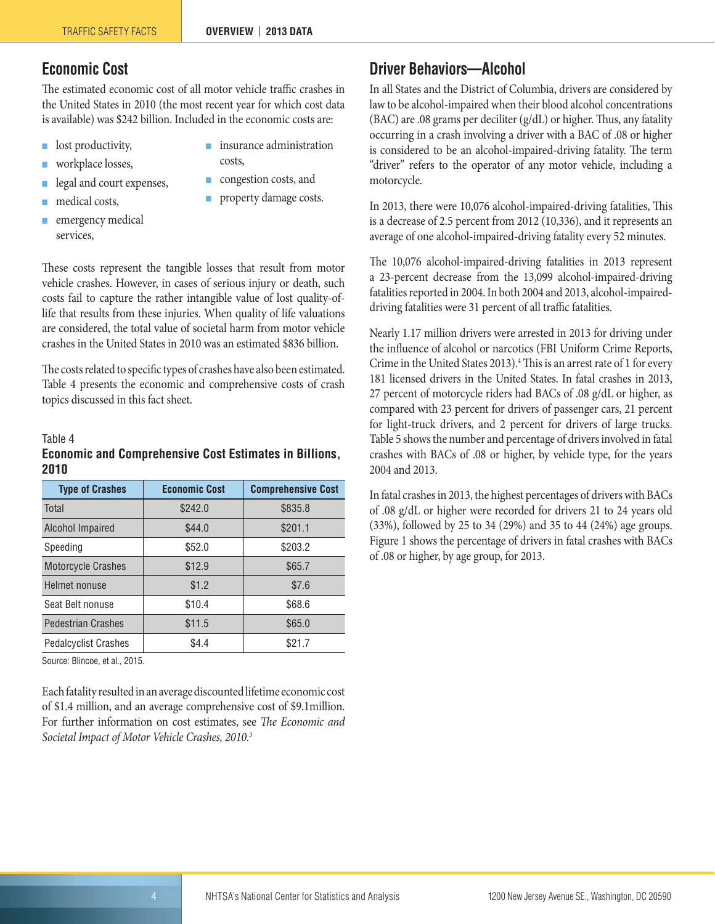## <span id="page-3-0"></span>**Economic Cost**

The estimated economic cost of all motor vehicle traffic crashes in the United States in 2010 (the most recent year for which cost data is available) was \$242 billion. Included in the economic costs are:

- lost productivity,
- workplace losses,
- legal and court expenses,
- medical costs,
- emergency medical services,
- insurance administration costs,
- congestion costs, and
- property damage costs.

These costs represent the tangible losses that result from motor vehicle crashes. However, in cases of serious injury or death, such costs fail to capture the rather intangible value of lost quality-oflife that results from these injuries. When quality of life valuations are considered, the total value of societal harm from motor vehicle crashes in the United States in 2010 was an estimated \$836 billion.

The costs related to specific types of crashes have also been estimated. Table 4 presents the economic and comprehensive costs of crash topics discussed in this fact sheet.

#### Table 4

#### **Economic and Comprehensive Cost Estimates in Billions, 2010**

| <b>Type of Crashes</b>      | <b>Economic Cost</b> | <b>Comprehensive Cost</b> |
|-----------------------------|----------------------|---------------------------|
| Total                       | \$242.0              | \$835.8                   |
| <b>Alcohol Impaired</b>     | \$44.0               | \$201.1                   |
| Speeding                    | \$52.0               | \$203.2                   |
| <b>Motorcycle Crashes</b>   | \$12.9               | \$65.7                    |
| Helmet nonuse               | \$1.2                | \$7.6                     |
| Seat Belt nonuse            | \$10.4               | \$68.6                    |
| <b>Pedestrian Crashes</b>   | \$11.5               | \$65.0                    |
| <b>Pedalcyclist Crashes</b> | \$4.4                | \$21.7                    |

Source: Blincoe, et al., 2015.

Each fatality resulted in an average discounted lifetime economic cost of \$1.4 million, and an average comprehensive cost of \$9.1million. For further information on cost estimates, see *The Economic and Societal Impact of Motor Vehicle Crashes, 2010.*[3](#page-11-2)

## <span id="page-3-1"></span>**Driver Behaviors—Alcohol**

In all States and the District of Columbia, drivers are considered by law to be alcohol-impaired when their blood alcohol concentrations (BAC) are .08 grams per deciliter (g/dL) or higher. Thus, any fatality occurring in a crash involving a driver with a BAC of .08 or higher is considered to be an alcohol-impaired-driving fatality. The term "driver" refers to the operator of any motor vehicle, including a motorcycle.

In 2013, there were 10,076 alcohol-impaired-driving fatalities, This is a decrease of 2.5 percent from 2012 (10,336), and it represents an average of one alcohol-impaired-driving fatality every 52 minutes.

The 10,076 alcohol-impaired-driving fatalities in 2013 represent a 23-percent decrease from the 13,099 alcohol-impaired-driving fatalities reported in 2004. In both 2004 and 2013, alcohol-impaireddriving fatalities were 31 percent of all traffic fatalities.

Nearly 1.17 million drivers were arrested in 2013 for driving under the influence of alcohol or narcotics (FBI Uniform Crime Reports, Crime in the United States 2013).<sup>4</sup> This is an arrest rate of 1 for every 181 licensed drivers in the United States. In fatal crashes in 2013, 27 percent of motorcycle riders had BACs of .08 g/dL or higher, as compared with 23 percent for drivers of passenger cars, 21 percent for light-truck drivers, and 2 percent for drivers of large trucks. Table 5 shows the number and percentage of drivers involved in fatal crashes with BACs of .08 or higher, by vehicle type, for the years 2004 and 2013.

In fatal crashes in 2013, the highest percentages of drivers with BACs of .08 g/dL or higher were recorded for drivers 21 to 24 years old (33%), followed by 25 to 34 (29%) and 35 to 44 (24%) age groups. Figure 1 shows the percentage of drivers in fatal crashes with BACs of .08 or higher, by age group, for 2013.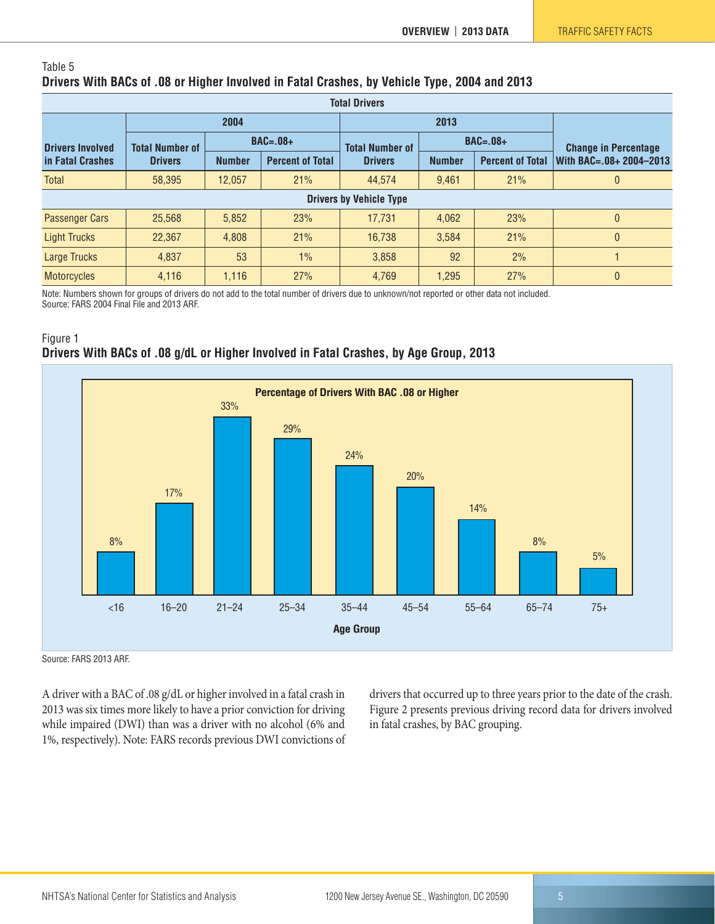#### Table 5 **Drivers With BACs of .08 or Higher Involved in Fatal Crashes, by Vehicle Type, 2004 and 2013**

| <b>Total Drivers</b>    |                                      |               |                         |                                |               |                         |                             |  |  |  |  |
|-------------------------|--------------------------------------|---------------|-------------------------|--------------------------------|---------------|-------------------------|-----------------------------|--|--|--|--|
|                         |                                      | 2004          |                         |                                | 2013          |                         |                             |  |  |  |  |
| <b>Drivers Involved</b> | $BAC=.08+$<br><b>Total Number of</b> |               |                         | <b>Total Number of</b>         |               | $BAC=.08+$              | <b>Change in Percentage</b> |  |  |  |  |
| in Fatal Crashes        | <b>Drivers</b>                       | <b>Number</b> | <b>Percent of Total</b> | <b>Drivers</b>                 | <b>Number</b> | <b>Percent of Total</b> | With BAC=.08+ 2004-2013     |  |  |  |  |
| <b>Total</b>            | 58,395                               | 12.057        | 21%                     | 44.574                         | 9.461         | 21%                     | 0                           |  |  |  |  |
|                         |                                      |               |                         | <b>Drivers by Vehicle Type</b> |               |                         |                             |  |  |  |  |
| <b>Passenger Cars</b>   | 25,568                               | 5,852         | 23%                     | 17,731                         | 4.062         | 23%                     | 0                           |  |  |  |  |
| <b>Light Trucks</b>     | 22,367                               | 4,808         | 21%                     | 16.738                         | 3.584         | 21%                     | 0                           |  |  |  |  |
| Large Trucks            | 4,837                                | 53            | 1%                      | 3,858                          | 92            | 2%                      |                             |  |  |  |  |
| <b>Motorcycles</b>      | 4,116                                | 1,116         | 27%                     | 4,769                          | 1,295         | 27%                     | 0                           |  |  |  |  |

Note: Numbers shown for groups of drivers do not add to the total number of drivers due to unknown/not reported or other data not included. Source: FARS 2004 Final File and 2013 ARF.





Source: FARS 2013 ARF.

A driver with a BAC of .08 g/dL or higher involved in a fatal crash in 2013 was six times more likely to have a prior conviction for driving while impaired (DWI) than was a driver with no alcohol (6% and 1%, respectively). Note: FARS records previous DWI convictions of drivers that occurred up to three years prior to the date of the crash. Figure 2 presents previous driving record data for drivers involved in fatal crashes, by BAC grouping.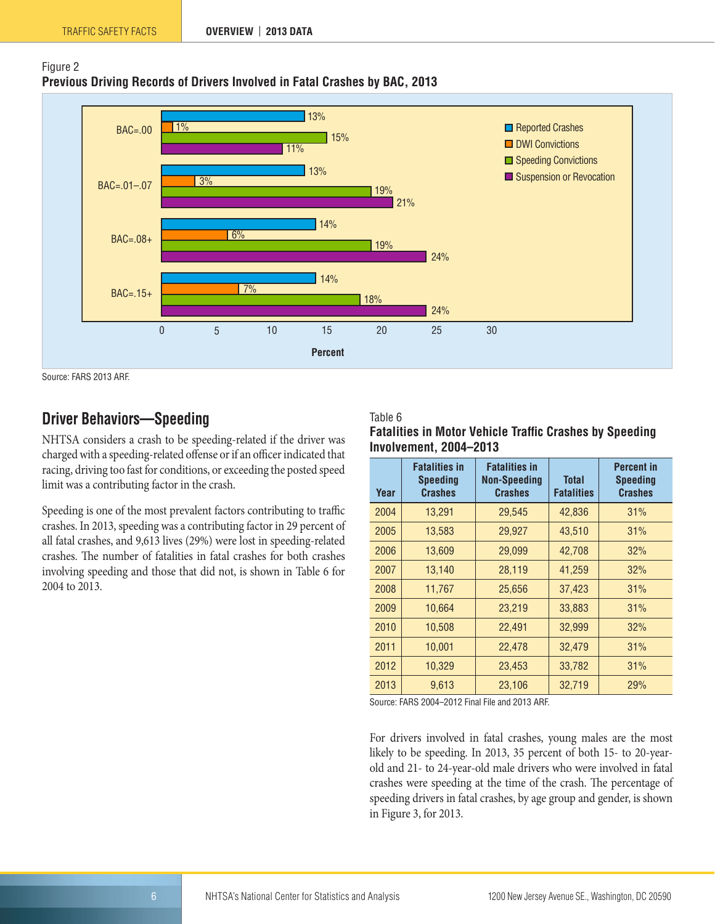





Source: FARS 2013 ARF.

## <span id="page-5-0"></span>**Driver Behaviors—Speeding**

NHTSA considers a crash to be speeding-related if the driver was charged with a speeding-related offense or if an officer indicated that racing, driving too fast for conditions, or exceeding the posted speed limit was a contributing factor in the crash.

Speeding is one of the most prevalent factors contributing to traffic crashes. In 2013, speeding was a contributing factor in 29 percent of all fatal crashes, and 9,613 lives (29%) were lost in speeding-related crashes. The number of fatalities in fatal crashes for both crashes involving speeding and those that did not, is shown in Table 6 for 2004 to 2013.

#### Table 6

| Year | <b>Fatalities in</b><br><b>Speeding</b><br><b>Crashes</b> | <b>Fatalities in</b><br><b>Non-Speeding</b><br><b>Crashes</b> | <b>Total</b><br><b>Fatalities</b> | <b>Percent in</b><br><b>Speeding</b><br><b>Crashes</b> |
|------|-----------------------------------------------------------|---------------------------------------------------------------|-----------------------------------|--------------------------------------------------------|
| 2004 | 13,291                                                    | 29,545                                                        | 42,836                            | 31%                                                    |
| 2005 | 13,583                                                    | 29,927                                                        | 43,510                            | 31%                                                    |
| 2006 | 13,609                                                    | 29,099                                                        | 42,708                            | 32%                                                    |
| 2007 | 13,140                                                    | 28,119                                                        | 41,259                            | 32%                                                    |
| 2008 | 11,767                                                    | 25,656                                                        | 37,423                            | 31%                                                    |
| 2009 | 10,664                                                    | 23,219                                                        | 33,883                            | 31%                                                    |
| 2010 | 10,508                                                    | 22,491                                                        | 32,999                            | 32%                                                    |
| 2011 | 10,001                                                    | 22,478                                                        | 32,479                            | 31%                                                    |
| 2012 | 10,329                                                    | 23,453                                                        | 33,782                            | 31%                                                    |
| 2013 | 9,613                                                     | 23,106                                                        | 32,719                            | 29%                                                    |

**Fatalities in Motor Vehicle Traffic Crashes by Speeding Involvement, 2004–2013**

Source: FARS 2004–2012 Final File and 2013 ARF.

For drivers involved in fatal crashes, young males are the most likely to be speeding. In 2013, 35 percent of both 15- to 20-yearold and 21- to 24-year-old male drivers who were involved in fatal crashes were speeding at the time of the crash. The percentage of speeding drivers in fatal crashes, by age group and gender, is shown in Figure 3, for 2013.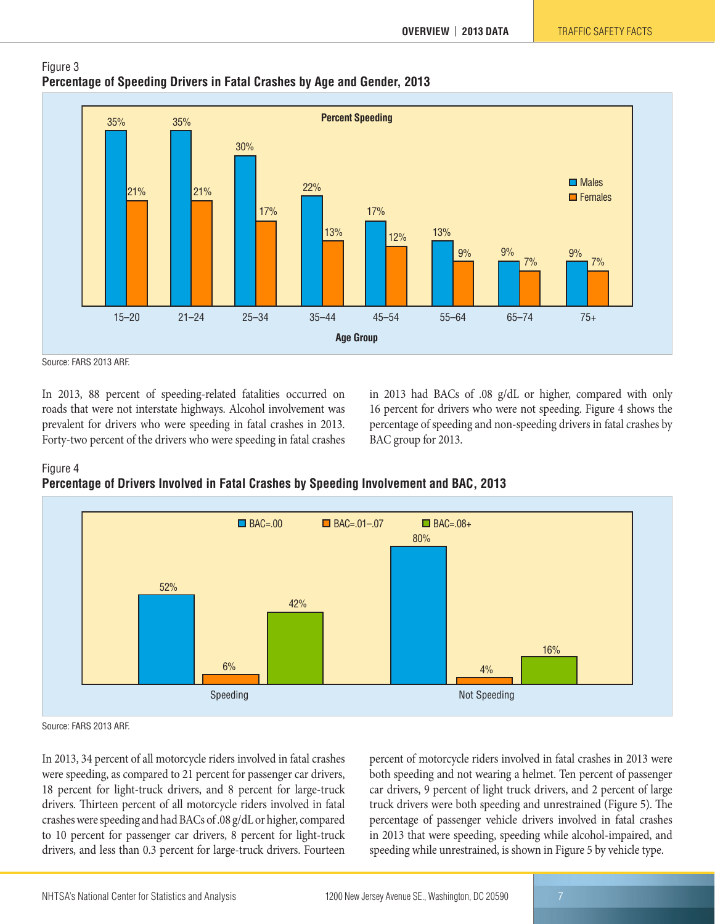



Source: FARS 2013 ARF.

In 2013, 88 percent of speeding-related fatalities occurred on roads that were not interstate highways. Alcohol involvement was prevalent for drivers who were speeding in fatal crashes in 2013. Forty-two percent of the drivers who were speeding in fatal crashes in 2013 had BACs of .08 g/dL or higher, compared with only 16 percent for drivers who were not speeding. Figure 4 shows the percentage of speeding and non-speeding drivers in fatal crashes by BAC group for 2013.



**Percentage of Drivers Involved in Fatal Crashes by Speeding Involvement and BAC, 2013**



Source: FARS 2013 ARF.

In 2013, 34 percent of all motorcycle riders involved in fatal crashes were speeding, as compared to 21 percent for passenger car drivers, 18 percent for light-truck drivers, and 8 percent for large-truck drivers. Thirteen percent of all motorcycle riders involved in fatal crashes were speeding and had BACs of .08 g/dL or higher, compared to 10 percent for passenger car drivers, 8 percent for light-truck drivers, and less than 0.3 percent for large-truck drivers. Fourteen percent of motorcycle riders involved in fatal crashes in 2013 were both speeding and not wearing a helmet. Ten percent of passenger car drivers, 9 percent of light truck drivers, and 2 percent of large truck drivers were both speeding and unrestrained (Figure 5). The percentage of passenger vehicle drivers involved in fatal crashes in 2013 that were speeding, speeding while alcohol-impaired, and speeding while unrestrained, is shown in Figure 5 by vehicle type.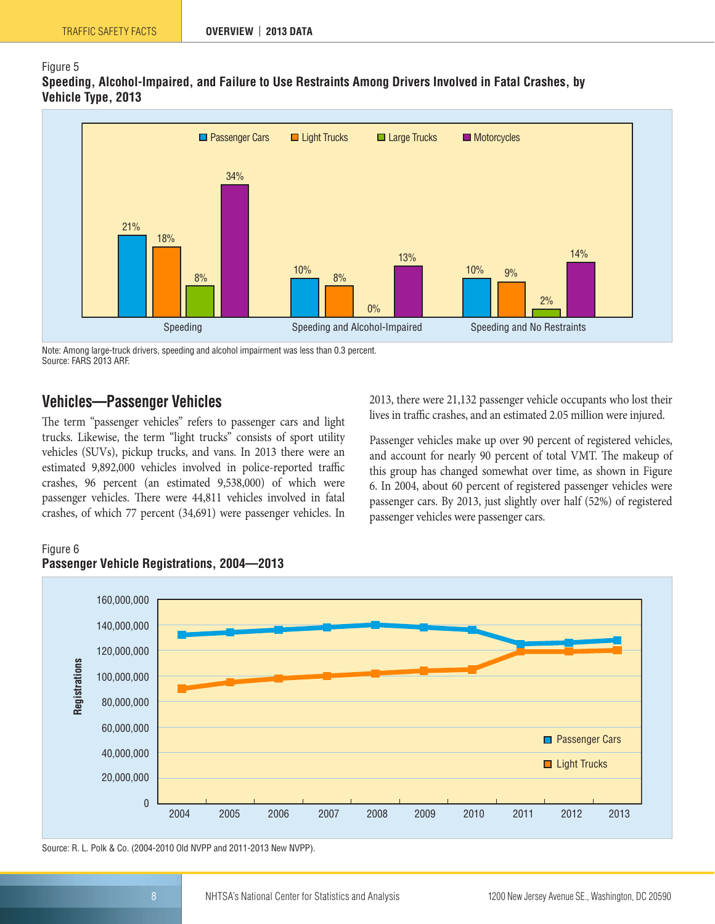#### Figure 5

**Speeding, Alcohol-Impaired, and Failure to Use Restraints Among Drivers Involved in Fatal Crashes, by Vehicle Type, 2013**



Note: Among large-truck drivers, speeding and alcohol impairment was less than 0.3 percent. Source: FARS 2013 ARF.

### <span id="page-7-0"></span>**Vehicles—Passenger Vehicles**

The term "passenger vehicles" refers to passenger cars and light trucks. Likewise, the term "light trucks" consists of sport utility vehicles (SUVs), pickup trucks, and vans. In 2013 there were an estimated 9,892,000 vehicles involved in police-reported traffic crashes, 96 percent (an estimated 9,538,000) of which were passenger vehicles. There were 44,811 vehicles involved in fatal crashes, of which 77 percent (34,691) were passenger vehicles. In 2013, there were 21,132 passenger vehicle occupants who lost their lives in traffic crashes, and an estimated 2.05 million were injured.

Passenger vehicles make up over 90 percent of registered vehicles, and account for nearly 90 percent of total VMT. The makeup of this group has changed somewhat over time, as shown in Figure 6. In 2004, about 60 percent of registered passenger vehicles were passenger cars. By 2013, just slightly over half (52%) of registered passenger vehicles were passenger cars.

#### Figure 6 **Passenger Vehicle Registrations, 2004—2013**



Source: R. L. Polk & Co. (2004-2010 Old NVPP and 2011-2013 New NVPP).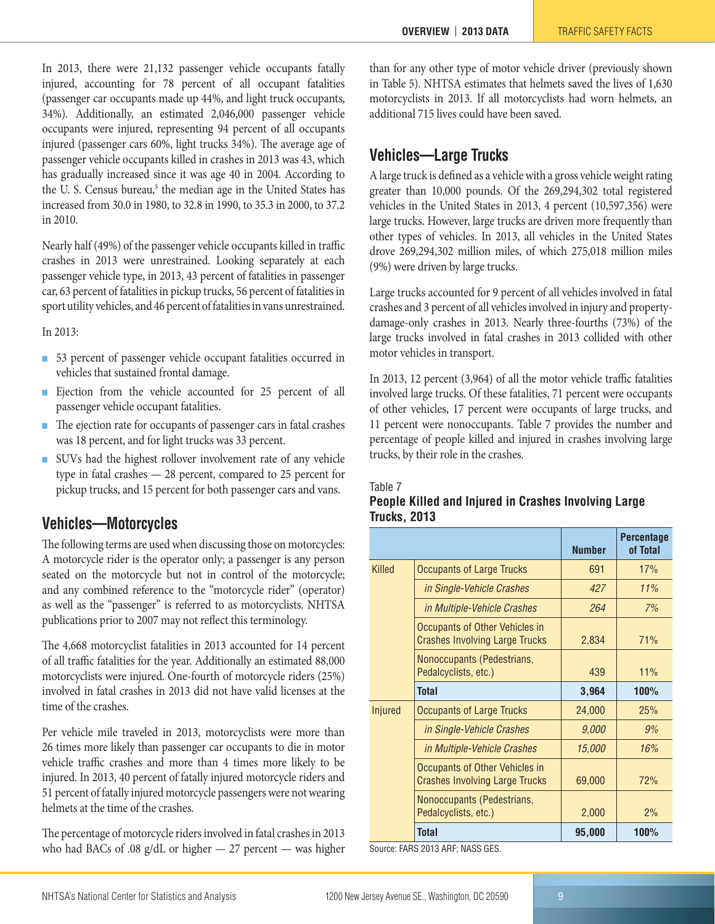In 2013, there were 21,132 passenger vehicle occupants fatally injured, accounting for 78 percent of all occupant fatalities (passenger car occupants made up 44%, and light truck occupants, 34%). Additionally, an estimated 2,046,000 passenger vehicle occupants were injured, representing 94 percent of all occupants injured (passenger cars 60%, light trucks 34%). The average age of passenger vehicle occupants killed in crashes in 2013 was 43, which has gradually increased since it was age 40 in 2004. According to the U. S. Census bureau,<sup>[5](#page-11-4)</sup> the median age in the United States has increased from 30.0 in 1980, to 32.8 in 1990, to 35.3 in 2000, to 37.2 in 2010.

Nearly half (49%) of the passenger vehicle occupants killed in traffic crashes in 2013 were unrestrained. Looking separately at each passenger vehicle type, in 2013, 43 percent of fatalities in passenger car, 63 percent of fatalities in pickup trucks, 56 percent of fatalities in sport utility vehicles, and 46 percent of fatalities in vans unrestrained.

In 2013:

- 53 percent of passenger vehicle occupant fatalities occurred in vehicles that sustained frontal damage.
- Ejection from the vehicle accounted for 25 percent of all passenger vehicle occupant fatalities.
- The ejection rate for occupants of passenger cars in fatal crashes was 18 percent, and for light trucks was 33 percent.
- SUVs had the highest rollover involvement rate of any vehicle type in fatal crashes — 28 percent, compared to 25 percent for pickup trucks, and 15 percent for both passenger cars and vans.

## <span id="page-8-0"></span>**Vehicles—Motorcycles**

The following terms are used when discussing those on motorcycles: A motorcycle rider is the operator only; a passenger is any person seated on the motorcycle but not in control of the motorcycle; and any combined reference to the "motorcycle rider" (operator) as well as the "passenger" is referred to as motorcyclists. NHTSA publications prior to 2007 may not reflect this terminology.

The 4,668 motorcyclist fatalities in 2013 accounted for 14 percent of all traffic fatalities for the year. Additionally an estimated 88,000 motorcyclists were injured. One-fourth of motorcycle riders (25%) involved in fatal crashes in 2013 did not have valid licenses at the time of the crashes.

Per vehicle mile traveled in 2013, motorcyclists were more than 26 times more likely than passenger car occupants to die in motor vehicle traffic crashes and more than 4 times more likely to be injured. In 2013, 40 percent of fatally injured motorcycle riders and 51 percent of fatally injured motorcycle passengers were not wearing helmets at the time of the crashes.

The percentage of motorcycle riders involved in fatal crashes in 2013 who had BACs of .08 g/dL or higher — 27 percent — was higher than for any other type of motor vehicle driver (previously shown in Table 5). NHTSA estimates that helmets saved the lives of 1,630 motorcyclists in 2013. If all motorcyclists had worn helmets, an additional 715 lives could have been saved.

## <span id="page-8-1"></span>**Vehicles—Large Trucks**

A large truck is defined as a vehicle with a gross vehicle weight rating greater than 10,000 pounds. Of the 269,294,302 total registered vehicles in the United States in 2013, 4 percent (10,597,356) were large trucks. However, large trucks are driven more frequently than other types of vehicles. In 2013, all vehicles in the United States drove 269,294,302 million miles, of which 275,018 million miles (9%) were driven by large trucks.

Large trucks accounted for 9 percent of all vehicles involved in fatal crashes and 3 percent of all vehicles involved in injury and propertydamage-only crashes in 2013. Nearly three-fourths (73%) of the large trucks involved in fatal crashes in 2013 collided with other motor vehicles in transport.

In 2013, 12 percent (3,964) of all the motor vehicle traffic fatalities involved large trucks. Of these fatalities, 71 percent were occupants of other vehicles, 17 percent were occupants of large trucks, and 11 percent were nonoccupants. Table 7 provides the number and percentage of people killed and injured in crashes involving large trucks, by their role in the crashes.

**People Killed and Injured in Crashes Involving Large** 

#### Table 7

**Trucks, 2013**

|         |                                                                         | <b>Number</b> | <b>Percentage</b><br>of Total |
|---------|-------------------------------------------------------------------------|---------------|-------------------------------|
| Killed  | <b>Occupants of Large Trucks</b>                                        | 691           | 17%                           |
|         | in Single-Vehicle Crashes                                               | 427           | 11%                           |
|         | in Multiple-Vehicle Crashes                                             | 264           | 7%                            |
|         | Occupants of Other Vehicles in<br><b>Crashes Involving Large Trucks</b> | 2,834         | 71%                           |
|         | Nonoccupants (Pedestrians,<br>Pedalcyclists, etc.)                      | 439           | 11%                           |
|         | Total                                                                   | 3,964         | 100%                          |
| Injured | <b>Occupants of Large Trucks</b>                                        | 24,000        | 25%                           |
|         | in Single-Vehicle Crashes                                               | 9,000         | 9%                            |
|         | in Multiple-Vehicle Crashes                                             | 15,000        | 16%                           |
|         | Occupants of Other Vehicles in<br><b>Crashes Involving Large Trucks</b> | 69,000        | 72%                           |
|         | Nonoccupants (Pedestrians,<br>Pedalcyclists, etc.)                      | 2,000         | 2%                            |
|         | <b>Total</b>                                                            | 95,000        | 100%                          |

Source: FARS 2013 ARF; NASS GES.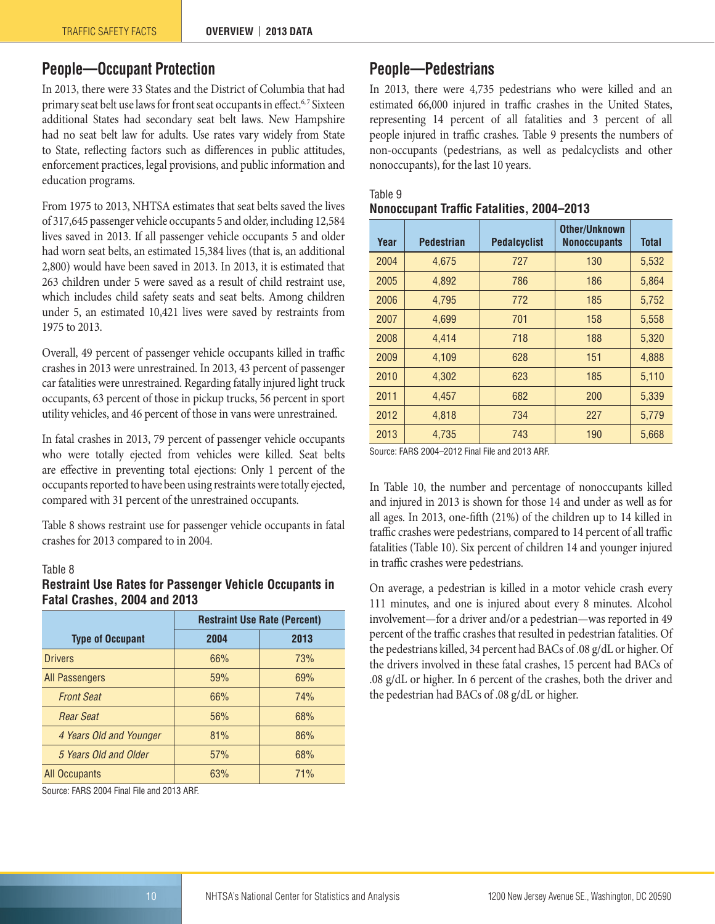## <span id="page-9-0"></span>**People—Occupant Protection**

In 2013, there were 33 States and the District of Columbia that had primary seat belt use laws for front seat occupants in effect.<sup>6,7</sup> Sixteen additional States had secondary seat belt laws. New Hampshire had no seat belt law for adults. Use rates vary widely from State to State, reflecting factors such as differences in public attitudes, enforcement practices, legal provisions, and public information and education programs.

From 1975 to 2013, NHTSA estimates that seat belts saved the lives of 317,645 passenger vehicle occupants 5 and older, including 12,584 lives saved in 2013. If all passenger vehicle occupants 5 and older had worn seat belts, an estimated 15,384 lives (that is, an additional 2,800) would have been saved in 2013. In 2013, it is estimated that 263 children under 5 were saved as a result of child restraint use, which includes child safety seats and seat belts. Among children under 5, an estimated 10,421 lives were saved by restraints from 1975 to 2013.

Overall, 49 percent of passenger vehicle occupants killed in traffic crashes in 2013 were unrestrained. In 2013, 43 percent of passenger car fatalities were unrestrained. Regarding fatally injured light truck occupants, 63 percent of those in pickup trucks, 56 percent in sport utility vehicles, and 46 percent of those in vans were unrestrained.

In fatal crashes in 2013, 79 percent of passenger vehicle occupants who were totally ejected from vehicles were killed. Seat belts are effective in preventing total ejections: Only 1 percent of the occupants reported to have been using restraints were totally ejected, compared with 31 percent of the unrestrained occupants.

Table 8 shows restraint use for passenger vehicle occupants in fatal crashes for 2013 compared to in 2004.

#### Table 8

#### **Restraint Use Rates for Passenger Vehicle Occupants in Fatal Crashes, 2004 and 2013**

|                         |      | <b>Restraint Use Rate (Percent)</b> |
|-------------------------|------|-------------------------------------|
| <b>Type of Occupant</b> | 2004 | 2013                                |
| <b>Drivers</b>          | 66%  | 73%                                 |
| All Passengers          | 59%  | 69%                                 |
| <b>Front Seat</b>       | 66%  | 74%                                 |
| <b>Rear Seat</b>        | 56%  | 68%                                 |
| 4 Years Old and Younger | 81%  | 86%                                 |
| 5 Years Old and Older   | 57%  | 68%                                 |
| All Occupants           | 63%  | 71%                                 |

Source: FARS 2004 Final File and 2013 ARF.

## <span id="page-9-1"></span>**People—Pedestrians**

In 2013, there were 4,735 pedestrians who were killed and an estimated 66,000 injured in traffic crashes in the United States, representing 14 percent of all fatalities and 3 percent of all people injured in traffic crashes. Table 9 presents the numbers of non-occupants (pedestrians, as well as pedalcyclists and other nonoccupants), for the last 10 years.

| Year | <b>Pedestrian</b> | <b>Pedalcyclist</b> | <b>Other/Unknown</b><br><b>Nonoccupants</b> | <b>Total</b> |
|------|-------------------|---------------------|---------------------------------------------|--------------|
| 2004 | 4,675             | 727                 | 130                                         | 5,532        |
| 2005 | 4,892             | 786                 | 186                                         | 5,864        |
| 2006 | 4,795             | 772                 | 185                                         | 5,752        |
| 2007 | 4,699             | 701                 | 158                                         | 5,558        |
| 2008 | 4,414             | 718                 | 188                                         | 5,320        |
| 2009 | 4,109             | 628                 | 151                                         | 4,888        |
| 2010 | 4,302             | 623                 | 185                                         | 5,110        |
| 2011 | 4,457             | 682                 | 200                                         | 5,339        |
| 2012 | 4,818             | 734                 | 227                                         | 5,779        |
| 2013 | 4,735             | 743                 | 190                                         | 5,668        |
|      |                   |                     |                                             |              |

#### Table 9 **Nonoccupant Traffic Fatalities, 2004–2013**

Source: FARS 2004–2012 Final File and 2013 ARF.

In Table 10, the number and percentage of nonoccupants killed and injured in 2013 is shown for those 14 and under as well as for all ages. In 2013, one-fifth (21%) of the children up to 14 killed in traffic crashes were pedestrians, compared to 14 percent of all traffic fatalities (Table 10). Six percent of children 14 and younger injured in traffic crashes were pedestrians.

On average, a pedestrian is killed in a motor vehicle crash every 111 minutes, and one is injured about every 8 minutes. Alcohol involvement—for a driver and/or a pedestrian—was reported in 49 percent of the traffic crashes that resulted in pedestrian fatalities. Of the pedestrians killed, 34 percent had BACs of .08 g/dL or higher. Of the drivers involved in these fatal crashes, 15 percent had BACs of .08 g/dL or higher. In 6 percent of the crashes, both the driver and the pedestrian had BACs of .08 g/dL or higher.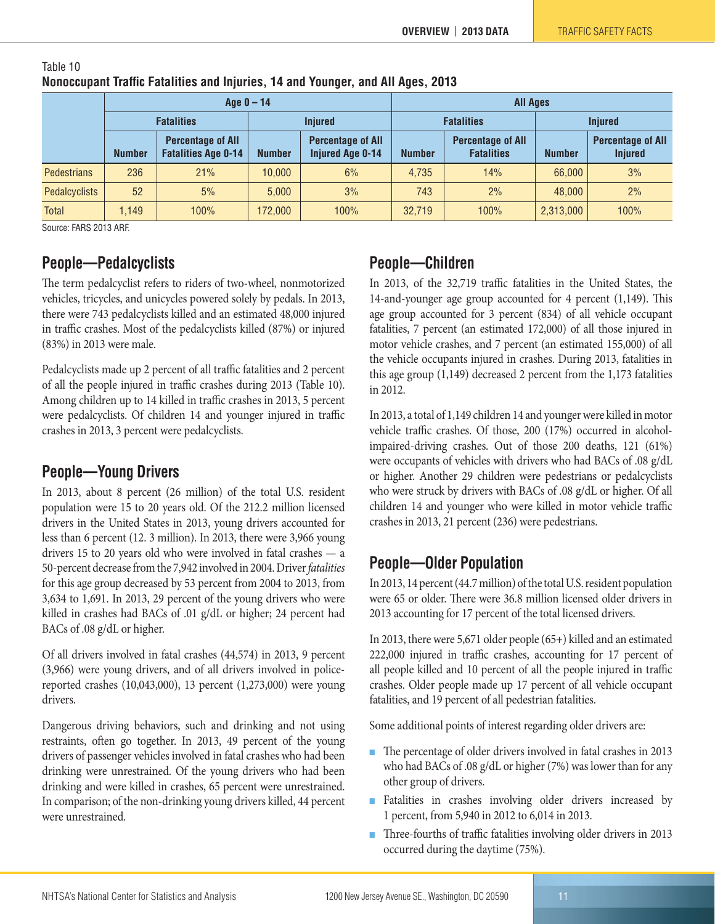|                      |                   |                                                        | Age $0 - 14$   |                                                     | <b>All Ages</b>   |                                               |                |                                            |  |  |  |
|----------------------|-------------------|--------------------------------------------------------|----------------|-----------------------------------------------------|-------------------|-----------------------------------------------|----------------|--------------------------------------------|--|--|--|
|                      | <b>Fatalities</b> |                                                        | <b>Injured</b> |                                                     | <b>Fatalities</b> |                                               | <b>Injured</b> |                                            |  |  |  |
|                      | <b>Number</b>     | <b>Percentage of All</b><br><b>Fatalities Age 0-14</b> | <b>Number</b>  | <b>Percentage of All</b><br><b>Injured Age 0-14</b> | <b>Number</b>     | <b>Percentage of All</b><br><b>Fatalities</b> | <b>Number</b>  | <b>Percentage of All</b><br><b>Injured</b> |  |  |  |
| <b>Pedestrians</b>   | 236               | 21%                                                    | 10.000         | 6%                                                  | 4.735             | 14%                                           | 66,000         | 3%                                         |  |  |  |
| <b>Pedalcyclists</b> | 52                | 5%                                                     | 5.000          | 3%                                                  | 743               | 2%                                            | 48,000         | 2%                                         |  |  |  |
| <b>Total</b>         | 1.149             | 100%                                                   | 172.000        | 100%                                                | 32.719            | 100%                                          | 2,313,000      | 100%                                       |  |  |  |

#### Table 10 **Nonoccupant Traffic Fatalities and Injuries, 14 and Younger, and All Ages, 2013**

Source: FARS 2013 ARF.

## <span id="page-10-0"></span>**People—Pedalcyclists**

The term pedalcyclist refers to riders of two-wheel, nonmotorized vehicles, tricycles, and unicycles powered solely by pedals. In 2013, there were 743 pedalcyclists killed and an estimated 48,000 injured in traffic crashes. Most of the pedalcyclists killed (87%) or injured (83%) in 2013 were male.

Pedalcyclists made up 2 percent of all traffic fatalities and 2 percent of all the people injured in traffic crashes during 2013 (Table 10). Among children up to 14 killed in traffic crashes in 2013, 5 percent were pedalcyclists. Of children 14 and younger injured in traffic crashes in 2013, 3 percent were pedalcyclists.

## <span id="page-10-1"></span>**People—Young Drivers**

In 2013, about 8 percent (26 million) of the total U.S. resident population were 15 to 20 years old. Of the 212.2 million licensed drivers in the United States in 2013, young drivers accounted for less than 6 percent (12. 3 million). In 2013, there were 3,966 young drivers 15 to 20 years old who were involved in fatal crashes — a 50-percent decrease from the 7,942 involved in 2004. Driver *fatalities* for this age group decreased by 53 percent from 2004 to 2013, from 3,634 to 1,691. In 2013, 29 percent of the young drivers who were killed in crashes had BACs of .01 g/dL or higher; 24 percent had BACs of .08 g/dL or higher.

Of all drivers involved in fatal crashes (44,574) in 2013, 9 percent (3,966) were young drivers, and of all drivers involved in policereported crashes (10,043,000), 13 percent (1,273,000) were young drivers.

Dangerous driving behaviors, such and drinking and not using restraints, often go together. In 2013, 49 percent of the young drivers of passenger vehicles involved in fatal crashes who had been drinking were unrestrained. Of the young drivers who had been drinking and were killed in crashes, 65 percent were unrestrained. In comparison; of the non-drinking young drivers killed, 44 percent were unrestrained.

## <span id="page-10-2"></span>**People—Children**

In 2013, of the 32,719 traffic fatalities in the United States, the 14-and-younger age group accounted for 4 percent (1,149). This age group accounted for 3 percent (834) of all vehicle occupant fatalities, 7 percent (an estimated 172,000) of all those injured in motor vehicle crashes, and 7 percent (an estimated 155,000) of all the vehicle occupants injured in crashes. During 2013, fatalities in this age group (1,149) decreased 2 percent from the 1,173 fatalities in 2012.

In 2013, a total of 1,149 children 14 and younger were killed in motor vehicle traffic crashes. Of those, 200 (17%) occurred in alcoholimpaired-driving crashes. Out of those 200 deaths, 121 (61%) were occupants of vehicles with drivers who had BACs of .08 g/dL or higher. Another 29 children were pedestrians or pedalcyclists who were struck by drivers with BACs of .08 g/dL or higher. Of all children 14 and younger who were killed in motor vehicle traffic crashes in 2013, 21 percent (236) were pedestrians.

## <span id="page-10-3"></span>**People—Older Population**

In 2013, 14 percent (44.7 million) of the total U.S. resident population were 65 or older. There were 36.8 million licensed older drivers in 2013 accounting for 17 percent of the total licensed drivers.

In 2013, there were 5,671 older people (65+) killed and an estimated 222,000 injured in traffic crashes, accounting for 17 percent of all people killed and 10 percent of all the people injured in traffic crashes. Older people made up 17 percent of all vehicle occupant fatalities, and 19 percent of all pedestrian fatalities.

Some additional points of interest regarding older drivers are:

- The percentage of older drivers involved in fatal crashes in 2013 who had BACs of .08 g/dL or higher (7%) was lower than for any other group of drivers.
- Fatalities in crashes involving older drivers increased by 1 percent, from 5,940 in 2012 to 6,014 in 2013.
- Three-fourths of traffic fatalities involving older drivers in 2013 occurred during the daytime (75%).